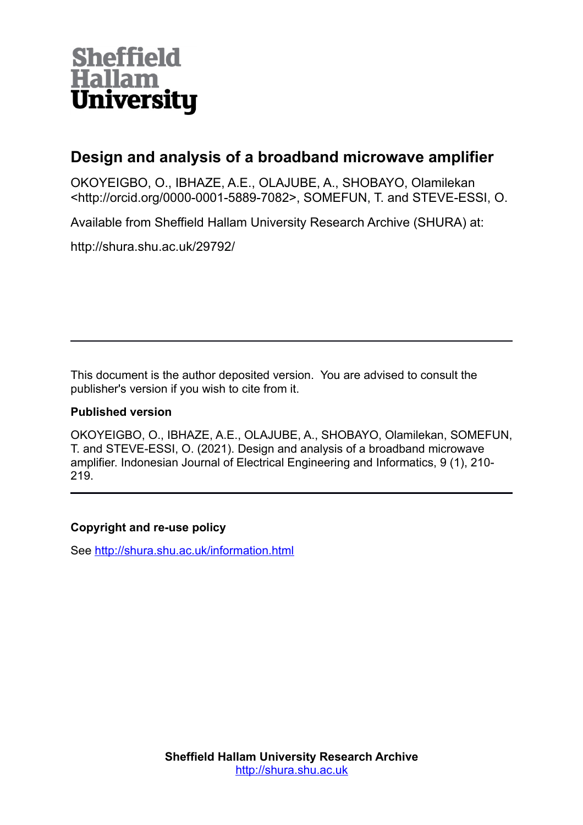

# **Design and analysis of a broadband microwave amplifier**

OKOYEIGBO, O., IBHAZE, A.E., OLAJUBE, A., SHOBAYO, Olamilekan <http://orcid.org/0000-0001-5889-7082>, SOMEFUN, T. and STEVE-ESSI, O.

Available from Sheffield Hallam University Research Archive (SHURA) at:

http://shura.shu.ac.uk/29792/

This document is the author deposited version. You are advised to consult the publisher's version if you wish to cite from it.

## **Published version**

OKOYEIGBO, O., IBHAZE, A.E., OLAJUBE, A., SHOBAYO, Olamilekan, SOMEFUN, T. and STEVE-ESSI, O. (2021). Design and analysis of a broadband microwave amplifier. Indonesian Journal of Electrical Engineering and Informatics, 9 (1), 210- 219.

## **Copyright and re-use policy**

See<http://shura.shu.ac.uk/information.html>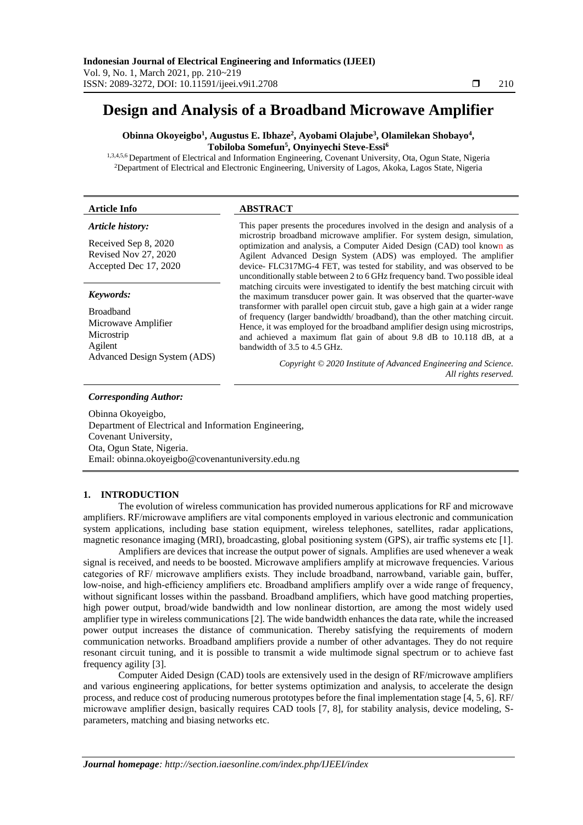# **Design and Analysis of a Broadband Microwave Amplifier**

**Obinna Okoyeigbo<sup>1</sup> , Augustus E. Ibhaze<sup>2</sup> , Ayobami Olajube<sup>3</sup> , Olamilekan Shobayo<sup>4</sup> , Tobiloba Somefun<sup>5</sup> , Onyinyechi Steve-Essi<sup>6</sup>**

1,3,4,5,6 Department of Electrical and Information Engineering, Covenant University, Ota, Ogun State, Nigeria <sup>2</sup>Department of Electrical and Electronic Engineering, University of Lagos, Akoka, Lagos State, Nigeria

| <b>Article Info</b>                                                                              | <b>ABSTRACT</b>                                                                                                                                                                                                                                                                                                                                                                   |
|--------------------------------------------------------------------------------------------------|-----------------------------------------------------------------------------------------------------------------------------------------------------------------------------------------------------------------------------------------------------------------------------------------------------------------------------------------------------------------------------------|
| Article history:<br>Received Sep 8, 2020<br>Revised Nov 27, 2020<br>Accepted Dec 17, 2020        | This paper presents the procedures involved in the design and analysis of a<br>microstrip broadband microwave amplifier. For system design, simulation,<br>optimization and analysis, a Computer Aided Design (CAD) tool known as<br>Agilent Advanced Design System (ADS) was employed. The amplifier<br>device- FLC317MG-4 FET, was tested for stability, and was observed to be |
| Keywords:                                                                                        | unconditionally stable between 2 to 6 GHz frequency band. Two possible ideal<br>matching circuits were investigated to identify the best matching circuit with<br>the maximum transducer power gain. It was observed that the quarter-wave                                                                                                                                        |
| <b>Broadband</b><br>Microwave Amplifier<br>Microstrip<br>Agilent<br>Advanced Design System (ADS) | transformer with parallel open circuit stub, gave a high gain at a wider range<br>of frequency (larger bandwidth/ broadband), than the other matching circuit.<br>Hence, it was employed for the broadband amplifier design using microstrips,<br>and achieved a maximum flat gain of about 9.8 dB to 10.118 dB, at a<br>bandwidth of 3.5 to 4.5 GHz.                             |
|                                                                                                  | Copyright © 2020 Institute of Advanced Engineering and Science.<br>All rights reserved.                                                                                                                                                                                                                                                                                           |

#### *Corresponding Author:*

Obinna Okoyeigbo, Department of Electrical and Information Engineering, Covenant University, Ota, Ogun State, Nigeria. Email: obinna.okoyeigbo@covenantuniversity.edu.ng

## **1. INTRODUCTION**

The evolution of wireless communication has provided numerous applications for RF and microwave amplifiers. RF/microwave amplifiers are vital components employed in various electronic and communication system applications, including base station equipment, wireless telephones, satellites, radar applications, magnetic resonance imaging (MRI), broadcasting, global positioning system (GPS), air traffic systems etc [1].

Amplifiers are devices that increase the output power of signals. Amplifies are used whenever a weak signal is received, and needs to be boosted. Microwave amplifiers amplify at microwave frequencies. Various categories of RF/ microwave amplifiers exists. They include broadband, narrowband, variable gain, buffer, low-noise, and high-efficiency amplifiers etc. Broadband amplifiers amplify over a wide range of frequency, without significant losses within the passband. Broadband amplifiers, which have good matching properties, high power output, broad/wide bandwidth and low nonlinear distortion, are among the most widely used amplifier type in wireless communications [2]. The wide bandwidth enhances the data rate, while the increased power output increases the distance of communication. Thereby satisfying the requirements of modern communication networks. Broadband amplifiers provide a number of other advantages. They do not require resonant circuit tuning, and it is possible to transmit a wide multimode signal spectrum or to achieve fast frequency agility [3].

Computer Aided Design (CAD) tools are extensively used in the design of RF/microwave amplifiers and various engineering applications, for better systems optimization and analysis, to accelerate the design process, and reduce cost of producing numerous prototypes before the final implementation stage [4, 5, 6]. RF/ microwave amplifier design, basically requires CAD tools [7, 8], for stability analysis, device modeling, Sparameters, matching and biasing networks etc.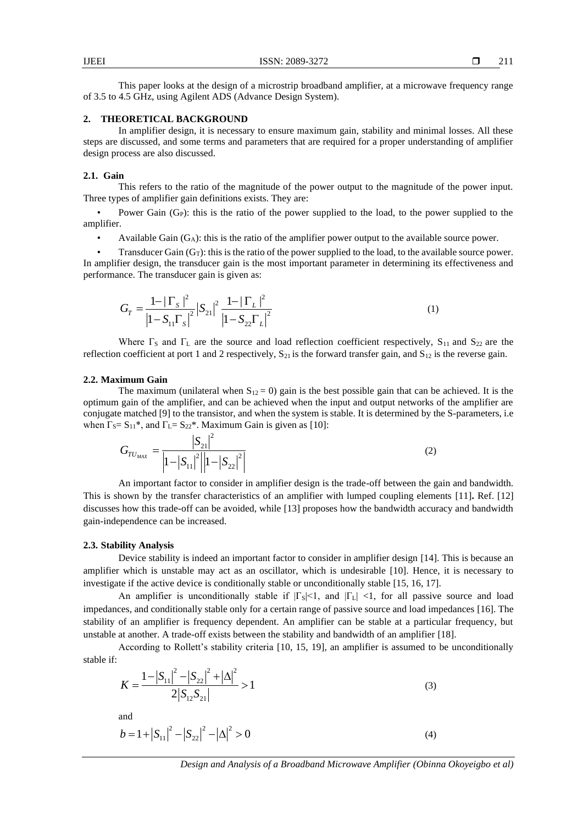This paper looks at the design of a microstrip broadband amplifier, at a microwave frequency range of 3.5 to 4.5 GHz, using Agilent ADS (Advance Design System).

## **2. THEORETICAL BACKGROUND**

In amplifier design, it is necessary to ensure maximum gain, stability and minimal losses. All these steps are discussed, and some terms and parameters that are required for a proper understanding of amplifier design process are also discussed.

#### **2.1. Gain**

This refers to the ratio of the magnitude of the power output to the magnitude of the power input. Three types of amplifier gain definitions exists. They are:

Power Gain (G<sub>P</sub>): this is the ratio of the power supplied to the load, to the power supplied to the amplifier.

Available Gain  $(G_A)$ : this is the ratio of the amplifier power output to the available source power.

Transducer Gain  $(G_T)$ : this is the ratio of the power supplied to the load, to the available source power. In amplifier design, the transducer gain is the most important parameter in determining its effectiveness and performance. The transducer gain is given as:

$$
G_T = \frac{1 - |\Gamma_s|^2}{|1 - S_{11}\Gamma_s|^2} |S_{21}|^2 \frac{1 - |\Gamma_L|^2}{|1 - S_{22}\Gamma_L|^2}
$$
(1)

Where  $\Gamma$ <sub>S</sub> and  $\Gamma$ <sub>L</sub> are the source and load reflection coefficient respectively, S<sub>11</sub> and S<sub>22</sub> are the reflection coefficient at port 1 and 2 respectively,  $S_{21}$  is the forward transfer gain, and  $S_{12}$  is the reverse gain.

## **2.2. Maximum Gain**

The maximum (unilateral when  $S_{12} = 0$ ) gain is the best possible gain that can be achieved. It is the optimum gain of the amplifier, and can be achieved when the input and output networks of the amplifier are conjugate matched [9] to the transistor, and when the system is stable. It is determined by the S-parameters, i.e. when  $\Gamma_S = S_{11}^*$ , and  $\Gamma_L = S_{22}^*$ . Maximum Gain is given as [10]:

$$
G_{TU_{MAX}} = \frac{|S_{21}|^2}{\left|1 - |S_{11}|^2 \right| \left|1 - |S_{22}|^2\right|}
$$
 (2)

An important factor to consider in amplifier design is the trade-off between the gain and bandwidth. This is shown by the transfer characteristics of an amplifier with lumped coupling elements [11]**.** Ref. [12] discusses how this trade-off can be avoided, while [13] proposes how the bandwidth accuracy and bandwidth gain-independence can be increased.

#### **2.3. Stability Analysis**

Device stability is indeed an important factor to consider in amplifier design [14]. This is because an amplifier which is unstable may act as an oscillator, which is undesirable [10]. Hence, it is necessary to investigate if the active device is conditionally stable or unconditionally stable [15, 16, 17].

An amplifier is unconditionally stable if  $|\Gamma_s|<1$ , and  $|\Gamma_t|<1$ , for all passive source and load impedances, and conditionally stable only for a certain range of passive source and load impedances [16]. The stability of an amplifier is frequency dependent. An amplifier can be stable at a particular frequency, but unstable at another. A trade-off exists between the stability and bandwidth of an amplifier [18].

According to Rollett's stability criteria [10, 15, 19], an amplifier is assumed to be unconditionally stable if:

$$
K = \frac{1 - |S_{11}|^2 - |S_{22}|^2 + |\Delta|^2}{2|S_{12}S_{21}|} > 1
$$
\n(3)

and

$$
b = 1 + |S_{11}|^2 - |S_{22}|^2 - |\Delta|^2 > 0
$$
\n(4)

*Design and Analysis of a Broadband Microwave Amplifier (Obinna Okoyeigbo et al)*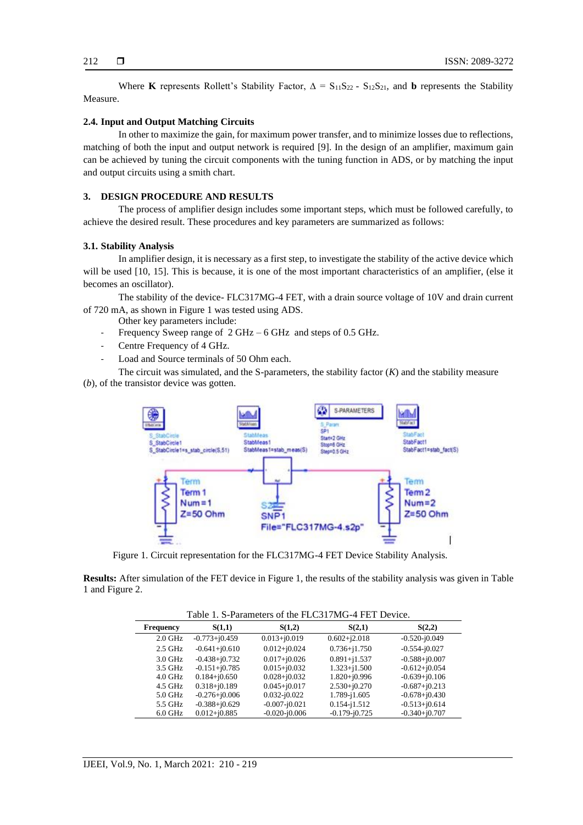Where **K** represents Rollett's Stability Factor,  $\Delta = S_{11}S_{22} - S_{12}S_{21}$ , and **b** represents the Stability Measure.

## **2.4. Input and Output Matching Circuits**

In other to maximize the gain, for maximum power transfer, and to minimize losses due to reflections, matching of both the input and output network is required [9]. In the design of an amplifier, maximum gain can be achieved by tuning the circuit components with the tuning function in ADS, or by matching the input and output circuits using a smith chart.

## **3. DESIGN PROCEDURE AND RESULTS**

The process of amplifier design includes some important steps, which must be followed carefully, to achieve the desired result. These procedures and key parameters are summarized as follows:

#### **3.1. Stability Analysis**

In amplifier design, it is necessary as a first step, to investigate the stability of the active device which will be used [10, 15]. This is because, it is one of the most important characteristics of an amplifier, (else it becomes an oscillator).

The stability of the device- FLC317MG-4 FET, with a drain source voltage of 10V and drain current of 720 mA, as shown in Figure 1 was tested using ADS.

- Other key parameters include:
- Frequency Sweep range of 2 GHz 6 GHz and steps of 0.5 GHz.
- Centre Frequency of 4 GHz.
- Load and Source terminals of 50 Ohm each.

The circuit was simulated, and the S-parameters, the stability factor (*K*) and the stability measure (*b*), of the transistor device was gotten.



Figure 1. Circuit representation for the FLC317MG-4 FET Device Stability Analysis.

**Results:** After simulation of the FET device in Figure 1, the results of the stability analysis was given in Table 1 and Figure 2.

|                  |                   |                   | Table 1. S-Parameters of the FLC31/MG-4 FET Device. |                   |
|------------------|-------------------|-------------------|-----------------------------------------------------|-------------------|
| <b>Frequency</b> | S(1,1)            | S(1,2)            | S(2,1)                                              | S(2,2)            |
| $2.0$ GHz        | $-0.773 + i0.459$ | $0.013 + j0.019$  | $0.602 + j2.018$                                    | $-0.520 - i0.049$ |
| $2.5$ GHz        | $-0.641 + i0.610$ | $0.012 + j0.024$  | $0.736 + i1.750$                                    | $-0.554 - i0.027$ |
| $3.0$ GHz        | $-0.438 + i0.732$ | $0.017 + j0.026$  | $0.891 + i1.537$                                    | $-0.588 + j0.007$ |
| 3.5 GHz          | $-0.151 + i0.785$ | $0.015 + j0.032$  | $1.323 + i1.500$                                    | $-0.612 + i0.054$ |
| $4.0$ GHz        | $0.184 + i0.650$  | $0.028 + i0.032$  | $1.820 + j0.996$                                    | $-0.639 + i0.106$ |
| 4.5 GHz          | $0.318 + j0.189$  | $0.045 + j0.017$  | $2.530 + i0.270$                                    | $-0.687 + i0.213$ |
| $5.0$ GHz        | $-0.276 + j0.006$ | $0.032 - i0.022$  | 1.789-j1.605                                        | $-0.678 + i0.430$ |
| 5.5 GHz          | $-0.388 + j0.629$ | $-0.007 - i0.021$ | $0.154 - i1.512$                                    | $-0.513 + j0.614$ |

6.0 GHz 0.012+j0.885 -0.020-j0.006 -0.179-j0.725 -0.340+j0.707

Table 1. S-Parameters of the FLC317MG-4 FET Device.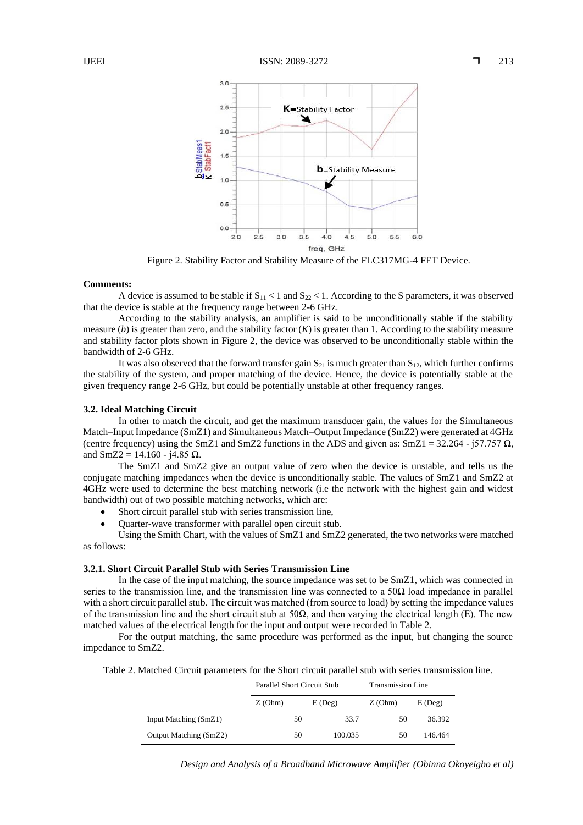

Figure 2. Stability Factor and Stability Measure of the FLC317MG-4 FET Device.

#### **Comments:**

A device is assumed to be stable if  $S_{11}$  < 1 and  $S_{22}$  < 1. According to the S parameters, it was observed that the device is stable at the frequency range between 2-6 GHz.

According to the stability analysis, an amplifier is said to be unconditionally stable if the stability measure  $(b)$  is greater than zero, and the stability factor  $(K)$  is greater than 1. According to the stability measure and stability factor plots shown in Figure 2, the device was observed to be unconditionally stable within the bandwidth of 2-6 GHz.

It was also observed that the forward transfer gain  $S_{21}$  is much greater than  $S_{12}$ , which further confirms the stability of the system, and proper matching of the device. Hence, the device is potentially stable at the given frequency range 2-6 GHz, but could be potentially unstable at other frequency ranges.

## **3.2. Ideal Matching Circuit**

In other to match the circuit, and get the maximum transducer gain, the values for the Simultaneous Match–Input Impedance (SmZ1) and Simultaneous Match–Output Impedance (SmZ2) were generated at 4GHz (centre frequency) using the SmZ1 and SmZ2 functions in the ADS and given as: SmZ1 = 32.264 - j57.757  $\Omega$ , and SmZ2 = 14.160 - j4.85 Ω.

The SmZ1 and SmZ2 give an output value of zero when the device is unstable, and tells us the conjugate matching impedances when the device is unconditionally stable. The values of SmZ1 and SmZ2 at 4GHz were used to determine the best matching network (i.e the network with the highest gain and widest bandwidth) out of two possible matching networks, which are:

- Short circuit parallel stub with series transmission line,
- Quarter-wave transformer with parallel open circuit stub.

Using the Smith Chart, with the values of SmZ1 and SmZ2 generated, the two networks were matched as follows:

## **3.2.1. Short Circuit Parallel Stub with Series Transmission Line**

In the case of the input matching, the source impedance was set to be SmZ1, which was connected in series to the transmission line, and the transmission line was connected to a  $50\Omega$  load impedance in parallel with a short circuit parallel stub. The circuit was matched (from source to load) by setting the impedance values of the transmission line and the short circuit stub at  $50\Omega$ , and then varying the electrical length (E). The new matched values of the electrical length for the input and output were recorded in Table 2.

For the output matching, the same procedure was performed as the input, but changing the source impedance to SmZ2.

Table 2. Matched Circuit parameters for the Short circuit parallel stub with series transmission line.

|                        | Parallel Short Circuit Stub |           | Transmission Line |           |
|------------------------|-----------------------------|-----------|-------------------|-----------|
|                        | Z(Ohm)                      | $E$ (Deg) | Z(Ohm)            | $E$ (Deg) |
| Input Matching (SmZ1)  | 50                          |           | 33.7<br>50        | 36.392    |
| Output Matching (SmZ2) | 50                          | 100.035   | 50                | 146.464   |

*Design and Analysis of a Broadband Microwave Amplifier (Obinna Okoyeigbo et al)*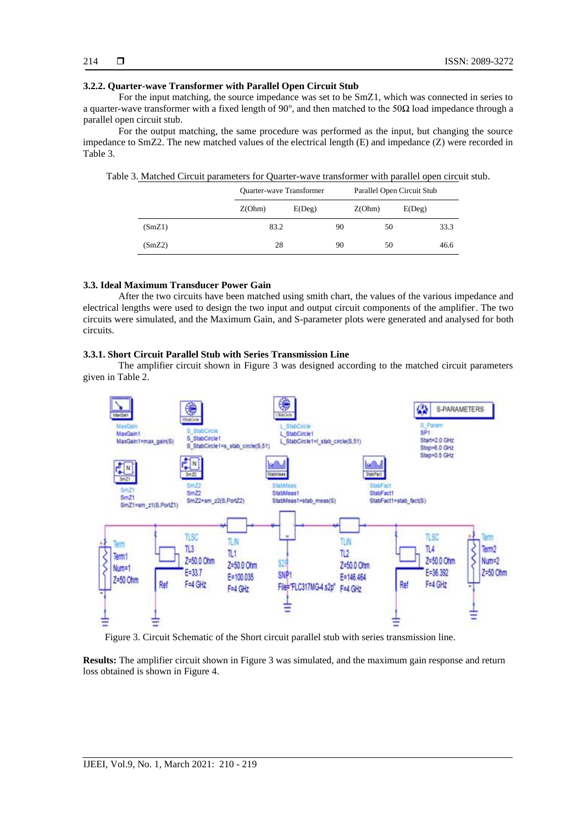#### **3.2.2. Quarter-wave Transformer with Parallel Open Circuit Stub**

For the input matching, the source impedance was set to be SmZ1, which was connected in series to a quarter-wave transformer with a fixed length of  $90^{\circ}$ , and then matched to the  $50\Omega$  load impedance through a parallel open circuit stub.

For the output matching, the same procedure was performed as the input, but changing the source impedance to SmZ2. The new matched values of the electrical length (E) and impedance (Z) were recorded in Table 3.

Table 3. Matched Circuit parameters for Quarter-wave transformer with parallel open circuit stub.

|        | Quarter-wave Transformer |              |    | Parallel Open Circuit Stub |        |      |
|--------|--------------------------|--------------|----|----------------------------|--------|------|
|        | Z(Ohm)                   | $E($ Deg $)$ |    | Z(Ohm)                     | E(Deg) |      |
| (SmZ1) | 83.2                     |              | 90 | 50                         |        | 33.3 |
| (SmZ2) | 28                       |              | 90 | 50                         |        | 46.6 |

## **3.3. Ideal Maximum Transducer Power Gain**

After the two circuits have been matched using smith chart, the values of the various impedance and electrical lengths were used to design the two input and output circuit components of the amplifier. The two circuits were simulated, and the Maximum Gain, and S-parameter plots were generated and analysed for both circuits.

#### **3.3.1. Short Circuit Parallel Stub with Series Transmission Line**

The amplifier circuit shown in Figure 3 was designed according to the matched circuit parameters given in Table 2.



Figure 3. Circuit Schematic of the Short circuit parallel stub with series transmission line.

**Results:** The amplifier circuit shown in Figure 3 was simulated, and the maximum gain response and return loss obtained is shown in Figure 4.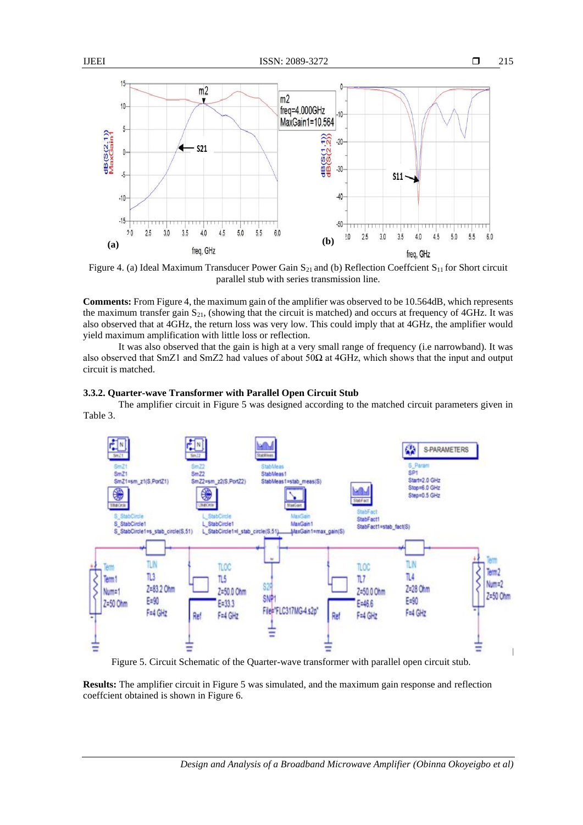

Figure 4. (a) Ideal Maximum Transducer Power Gain  $S_{21}$  and (b) Reflection Coeffcient  $S_{11}$  for Short circuit parallel stub with series transmission line.

**Comments:** From Figure 4, the maximum gain of the amplifier was observed to be 10.564dB, which represents the maximum transfer gain  $S_{21}$ , (showing that the circuit is matched) and occurs at frequency of 4GHz. It was also observed that at 4GHz, the return loss was very low. This could imply that at 4GHz, the amplifier would yield maximum amplification with little loss or reflection.

It was also observed that the gain is high at a very small range of frequency (i.e narrowband). It was also observed that SmZ1 and SmZ2 had values of about 50Ω at 4GHz, which shows that the input and output circuit is matched.

## **3.3.2. Quarter-wave Transformer with Parallel Open Circuit Stub**

The amplifier circuit in Figure 5 was designed according to the matched circuit parameters given in Table 3.



Figure 5. Circuit Schematic of the Quarter-wave transformer with parallel open circuit stub.

**Results:** The amplifier circuit in Figure 5 was simulated, and the maximum gain response and reflection coeffcient obtained is shown in Figure 6.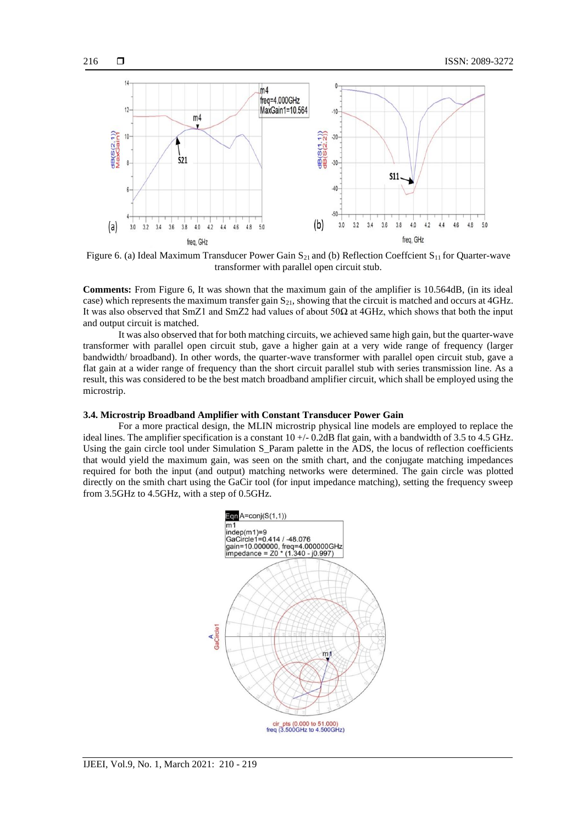

Figure 6. (a) Ideal Maximum Transducer Power Gain  $S_{21}$  and (b) Reflection Coeffcient  $S_{11}$  for Quarter-wave transformer with parallel open circuit stub.

**Comments:** From Figure 6, It was shown that the maximum gain of the amplifier is 10.564dB, (in its ideal case) which represents the maximum transfer gain  $S_{21}$ , showing that the circuit is matched and occurs at 4GHz. It was also observed that SmZ1 and SmZ2 had values of about 50Ω at 4GHz, which shows that both the input and output circuit is matched.

It was also observed that for both matching circuits, we achieved same high gain, but the quarter-wave transformer with parallel open circuit stub, gave a higher gain at a very wide range of frequency (larger bandwidth/ broadband). In other words, the quarter-wave transformer with parallel open circuit stub, gave a flat gain at a wider range of frequency than the short circuit parallel stub with series transmission line. As a result, this was considered to be the best match broadband amplifier circuit, which shall be employed using the microstrip.

#### **3.4. Microstrip Broadband Amplifier with Constant Transducer Power Gain**

For a more practical design, the MLIN microstrip physical line models are employed to replace the ideal lines. The amplifier specification is a constant  $10 + (-0.2$ dB flat gain, with a bandwidth of 3.5 to 4.5 GHz. Using the gain circle tool under Simulation S\_Param palette in the ADS, the locus of reflection coefficients that would yield the maximum gain, was seen on the smith chart, and the conjugate matching impedances required for both the input (and output) matching networks were determined. The gain circle was plotted directly on the smith chart using the GaCir tool (for input impedance matching), setting the frequency sweep from 3.5GHz to 4.5GHz, with a step of 0.5GHz.

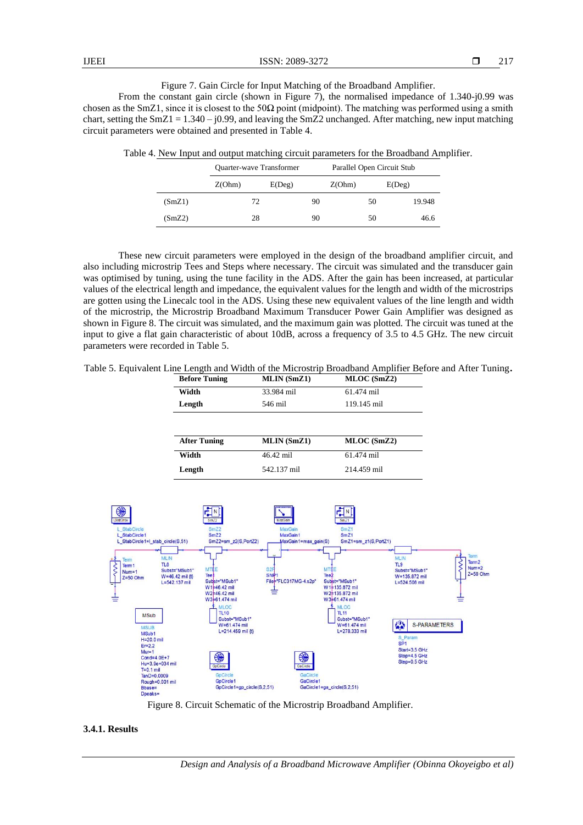|  |  |  |  |  | Figure 7. Gain Circle for Input Matching of the Broadband Amplifier. |  |
|--|--|--|--|--|----------------------------------------------------------------------|--|
|  |  |  |  |  |                                                                      |  |

From the constant gain circle (shown in Figure 7), the normalised impedance of 1.340-j0.99 was chosen as the SmZ1, since it is closest to the 50 $\Omega$  point (midpoint). The matching was performed using a smith chart, setting the SmZ1 =  $1.340 - j0.99$ , and leaving the SmZ2 unchanged. After matching, new input matching circuit parameters were obtained and presented in Table 4.

Table 4. New Input and output matching circuit parameters for the Broadband Amplifier.

|        | Quarter-wave Transformer | Parallel Open Circuit Stub |    |        |    |        |
|--------|--------------------------|----------------------------|----|--------|----|--------|
|        | Z(Ohm)                   | E(Deg)                     |    | Z(Ohm) |    | E(Deg) |
| (SmZ1) | 72                       |                            | 90 |        | 50 | 19.948 |
| (SmZ2) | 28                       |                            | 90 |        | 50 | 46.6   |

These new circuit parameters were employed in the design of the broadband amplifier circuit, and also including microstrip Tees and Steps where necessary. The circuit was simulated and the transducer gain was optimised by tuning, using the tune facility in the ADS. After the gain has been increased, at particular values of the electrical length and impedance, the equivalent values for the length and width of the microstrips are gotten using the Linecalc tool in the ADS. Using these new equivalent values of the line length and width of the microstrip, the Microstrip Broadband Maximum Transducer Power Gain Amplifier was designed as shown in Figure 8. The circuit was simulated, and the maximum gain was plotted. The circuit was tuned at the input to give a flat gain characteristic of about 10dB, across a frequency of 3.5 to 4.5 GHz. The new circuit parameters were recorded in Table 5.

| Table 5. Equivalent Line Length and Width of the Microstrip Broadband Amplifier Before and After Tuning. |  |
|----------------------------------------------------------------------------------------------------------|--|
|----------------------------------------------------------------------------------------------------------|--|

| <b>Before Tuning</b> | <b>MLIN</b> (SmZ1) | MLOC (SmZ2) |
|----------------------|--------------------|-------------|
| Width                | 33.984 mil         | 61.474 mil  |
| Length               | 546 mil            | 119.145 mil |
| <b>After Tuning</b>  | <b>MLIN</b> (SmZ1) | MLOC(SmZ2)  |
|                      |                    |             |
| Width                | 46.42 mil          | 61.474 mil  |



Figure 8. Circuit Schematic of the Microstrip Broadband Amplifier.

## **3.4.1. Results**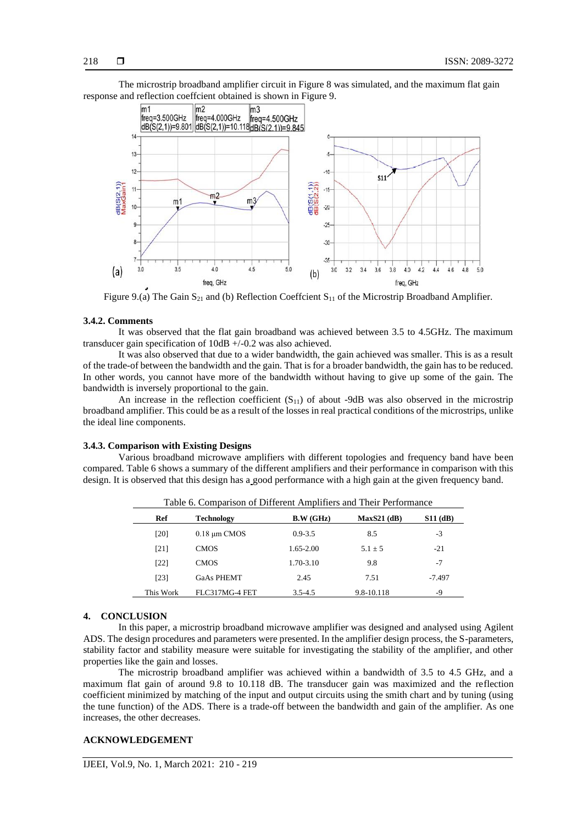The microstrip broadband amplifier circuit in Figure 8 was simulated, and the maximum flat gain response and reflection coeffcient obtained is shown in Figure 9.



Figure 9.(a) The Gain  $S_{21}$  and (b) Reflection Coeffcient  $S_{11}$  of the Microstrip Broadband Amplifier.

#### **3.4.2. Comments**

It was observed that the flat gain broadband was achieved between 3.5 to 4.5GHz. The maximum transducer gain specification of 10dB +/-0.2 was also achieved.

It was also observed that due to a wider bandwidth, the gain achieved was smaller. This is as a result of the trade-of between the bandwidth and the gain. That is for a broader bandwidth, the gain has to be reduced. In other words, you cannot have more of the bandwidth without having to give up some of the gain. The bandwidth is inversely proportional to the gain.

An increase in the reflection coefficient  $(S_{11})$  of about -9dB was also observed in the microstrip broadband amplifier. This could be as a result of the losses in real practical conditions of the microstrips, unlike the ideal line components.

## **3.4.3. Comparison with Existing Designs**

Various broadband microwave amplifiers with different topologies and frequency band have been compared. Table 6 shows a summary of the different amplifiers and their performance in comparison with this design. It is observed that this design has a good performance with a high gain at the given frequency band.

| Ref       | <b>Technology</b> | B.W (GHz)   | $MaxS21$ (dB) | <b>S11 (dB)</b> |
|-----------|-------------------|-------------|---------------|-----------------|
| [20]      | $0.18 \mu m$ CMOS | $0.9 - 3.5$ | 8.5           | $-3$            |
| [21]      | <b>CMOS</b>       | 1.65-2.00   | $5.1 + 5$     | $-21$           |
| [22]      | <b>CMOS</b>       | 1.70-3.10   | 9.8           | $-7$            |
| $[23]$    | <b>GaAs PHEMT</b> | 2.45        | 7.51          | -7.497          |
| This Work | FLC317MG-4 FET    | $3.5 - 4.5$ | 9.8-10.118    | -9              |

#### **4. CONCLUSION**

In this paper, a microstrip broadband microwave amplifier was designed and analysed using Agilent ADS. The design procedures and parameters were presented. In the amplifier design process, the S-parameters, stability factor and stability measure were suitable for investigating the stability of the amplifier, and other properties like the gain and losses.

The microstrip broadband amplifier was achieved within a bandwidth of 3.5 to 4.5 GHz, and a maximum flat gain of around 9.8 to 10.118 dB. The transducer gain was maximized and the reflection coefficient minimized by matching of the input and output circuits using the smith chart and by tuning (using the tune function) of the ADS. There is a trade-off between the bandwidth and gain of the amplifier. As one increases, the other decreases.

## **ACKNOWLEDGEMENT**